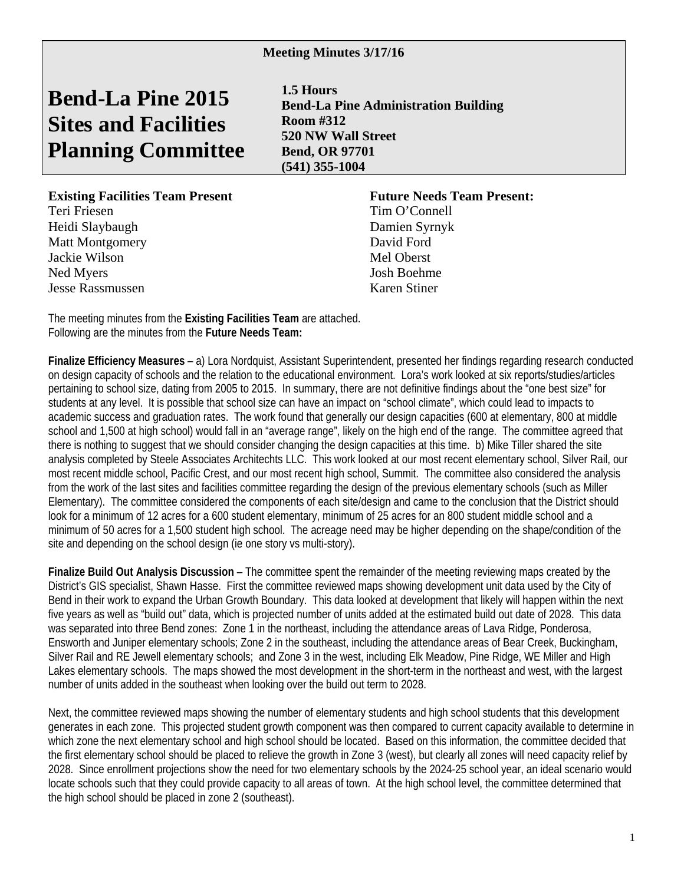## **Bend-La Pine 2015 Sites and Facilities Planning Committee**

**1.5 Hours Bend-La Pine Administration Building Room #312 520 NW Wall Street Bend, OR 97701 (541) 355-1004** 

## **Existing Facilities Team Present Future Needs Team Present:**

Teri Friesen Tim O'Connell Heidi Slaybaugh Damien Syrnyk Matt Montgomery David Ford Jackie Wilson Mel Oberst Ned Myers Josh Boehme Jesse Rassmussen Karen Stiner

The meeting minutes from the **Existing Facilities Team** are attached. Following are the minutes from the **Future Needs Team:** 

**Finalize Efficiency Measures** – a) Lora Nordquist, Assistant Superintendent, presented her findings regarding research conducted on design capacity of schools and the relation to the educational environment. Lora's work looked at six reports/studies/articles pertaining to school size, dating from 2005 to 2015. In summary, there are not definitive findings about the "one best size" for students at any level. It is possible that school size can have an impact on "school climate", which could lead to impacts to academic success and graduation rates. The work found that generally our design capacities (600 at elementary, 800 at middle school and 1,500 at high school) would fall in an "average range", likely on the high end of the range. The committee agreed that there is nothing to suggest that we should consider changing the design capacities at this time. b) Mike Tiller shared the site analysis completed by Steele Associates Architechts LLC. This work looked at our most recent elementary school, Silver Rail, our most recent middle school, Pacific Crest, and our most recent high school, Summit. The committee also considered the analysis from the work of the last sites and facilities committee regarding the design of the previous elementary schools (such as Miller Elementary). The committee considered the components of each site/design and came to the conclusion that the District should look for a minimum of 12 acres for a 600 student elementary, minimum of 25 acres for an 800 student middle school and a minimum of 50 acres for a 1,500 student high school. The acreage need may be higher depending on the shape/condition of the site and depending on the school design (ie one story vs multi-story).

**Finalize Build Out Analysis Discussion** – The committee spent the remainder of the meeting reviewing maps created by the District's GIS specialist, Shawn Hasse. First the committee reviewed maps showing development unit data used by the City of Bend in their work to expand the Urban Growth Boundary. This data looked at development that likely will happen within the next five years as well as "build out" data, which is projected number of units added at the estimated build out date of 2028. This data was separated into three Bend zones: Zone 1 in the northeast, including the attendance areas of Lava Ridge, Ponderosa, Ensworth and Juniper elementary schools; Zone 2 in the southeast, including the attendance areas of Bear Creek, Buckingham, Silver Rail and RE Jewell elementary schools; and Zone 3 in the west, including Elk Meadow, Pine Ridge, WE Miller and High Lakes elementary schools. The maps showed the most development in the short-term in the northeast and west, with the largest number of units added in the southeast when looking over the build out term to 2028.

Next, the committee reviewed maps showing the number of elementary students and high school students that this development generates in each zone. This projected student growth component was then compared to current capacity available to determine in which zone the next elementary school and high school should be located. Based on this information, the committee decided that the first elementary school should be placed to relieve the growth in Zone 3 (west), but clearly all zones will need capacity relief by 2028. Since enrollment projections show the need for two elementary schools by the 2024-25 school year, an ideal scenario would locate schools such that they could provide capacity to all areas of town. At the high school level, the committee determined that the high school should be placed in zone 2 (southeast).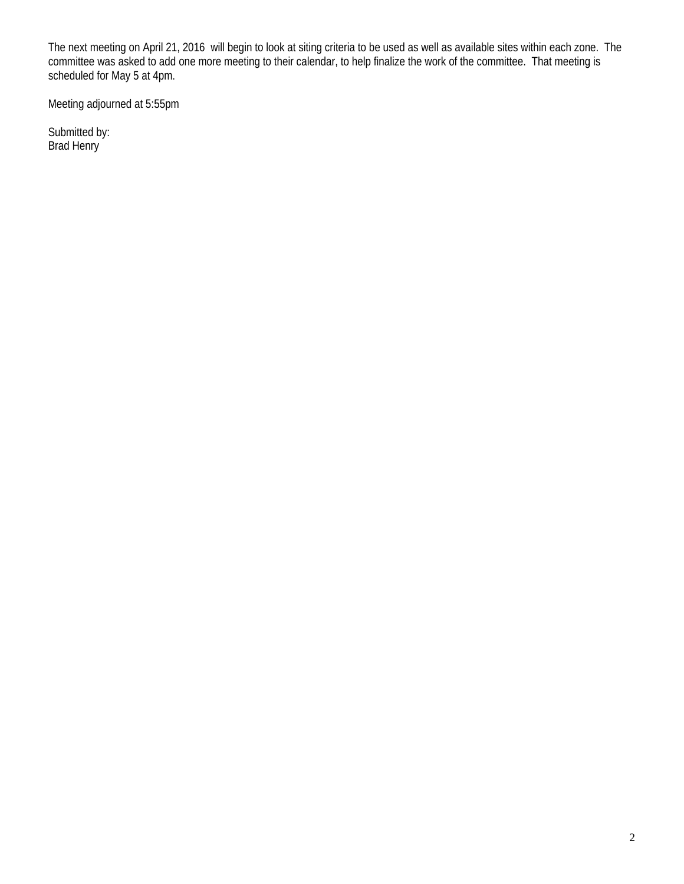The next meeting on April 21, 2016 will begin to look at siting criteria to be used as well as available sites within each zone. The committee was asked to add one more meeting to their calendar, to help finalize the work of the committee. That meeting is scheduled for May 5 at 4pm.

Meeting adjourned at 5:55pm

Submitted by: Brad Henry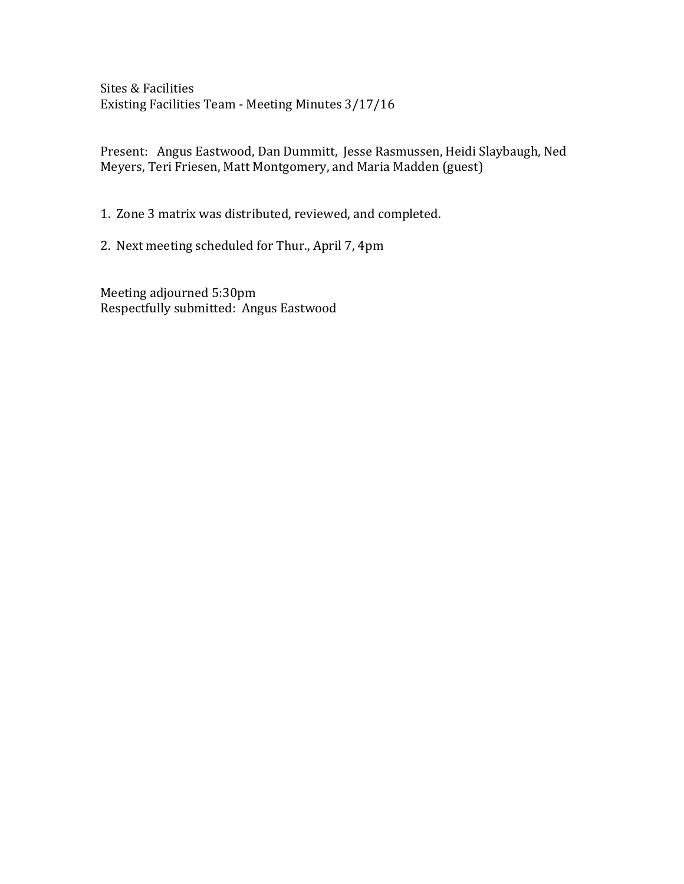Sites & Facilities Existing Facilities Team - Meeting Minutes  $3/17/16$ 

Present: Angus Eastwood, Dan Dummitt, Jesse Rasmussen, Heidi Slaybaugh, Ned Meyers, Teri Friesen, Matt Montgomery, and Maria Madden (guest)

1. Zone 3 matrix was distributed, reviewed, and completed.

2. Next meeting scheduled for Thur., April 7, 4pm

Meeting adjourned 5:30pm Respectfully submitted: Angus Eastwood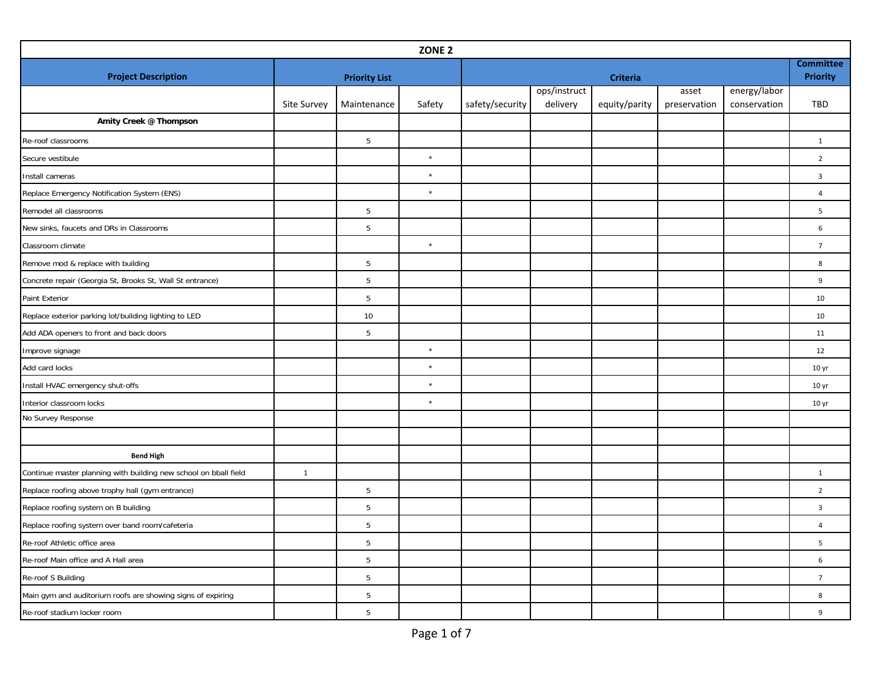| ZONE <sub>2</sub>                                                |              |                      |         |                 |                                     |                 |              |              |                         |  |
|------------------------------------------------------------------|--------------|----------------------|---------|-----------------|-------------------------------------|-----------------|--------------|--------------|-------------------------|--|
| <b>Project Description</b>                                       |              |                      |         |                 | <b>Committee</b><br><b>Priority</b> |                 |              |              |                         |  |
|                                                                  |              | <b>Priority List</b> |         |                 | ops/instruct                        | <b>Criteria</b> | asset        | energy/labor |                         |  |
|                                                                  | Site Survey  | Maintenance          | Safety  | safety/security | delivery                            | equity/parity   | preservation | conservation | TBD                     |  |
| Amity Creek @ Thompson                                           |              |                      |         |                 |                                     |                 |              |              |                         |  |
| Re-roof classrooms                                               |              | 5                    |         |                 |                                     |                 |              |              | $\mathbf{1}$            |  |
| Secure vestibule                                                 |              |                      | $\star$ |                 |                                     |                 |              |              | $\overline{2}$          |  |
| Install cameras                                                  |              |                      | $\star$ |                 |                                     |                 |              |              | $\mathbf{3}$            |  |
| Replace Emergency Notification System (ENS)                      |              |                      | $\star$ |                 |                                     |                 |              |              | $\overline{4}$          |  |
| Remodel all classrooms                                           |              | 5                    |         |                 |                                     |                 |              |              | 5                       |  |
| New sinks, faucets and DRs in Classrooms                         |              | $5\,$                |         |                 |                                     |                 |              |              | 6                       |  |
| Classroom climate                                                |              |                      | $\star$ |                 |                                     |                 |              |              | $\overline{7}$          |  |
| Remove mod & replace with building                               |              | 5                    |         |                 |                                     |                 |              |              | 8                       |  |
| Concrete repair (Georgia St, Brooks St, Wall St entrance)        |              | $5\,$                |         |                 |                                     |                 |              |              | 9                       |  |
| Paint Exterior                                                   |              | 5                    |         |                 |                                     |                 |              |              | 10                      |  |
| Replace exterior parking lot/building lighting to LED            |              | 10                   |         |                 |                                     |                 |              |              | 10                      |  |
| Add ADA openers to front and back doors                          |              | $5\phantom{.0}$      |         |                 |                                     |                 |              |              | 11                      |  |
| Improve signage                                                  |              |                      | $\star$ |                 |                                     |                 |              |              | 12                      |  |
| Add card locks                                                   |              |                      | $\star$ |                 |                                     |                 |              |              | 10 <sub>yr</sub>        |  |
| Install HVAC emergency shut-offs                                 |              |                      | $\star$ |                 |                                     |                 |              |              | 10 <sub>yr</sub>        |  |
| Interior classroom locks                                         |              |                      | $\star$ |                 |                                     |                 |              |              | 10 <sub>yr</sub>        |  |
| No Survey Response                                               |              |                      |         |                 |                                     |                 |              |              |                         |  |
|                                                                  |              |                      |         |                 |                                     |                 |              |              |                         |  |
| <b>Bend High</b>                                                 |              |                      |         |                 |                                     |                 |              |              |                         |  |
| Continue master planning with building new school on bball field | $\mathbf{1}$ |                      |         |                 |                                     |                 |              |              | $\mathbf{1}$            |  |
| Replace roofing above trophy hall (gym entrance)                 |              | 5                    |         |                 |                                     |                 |              |              | $\overline{2}$          |  |
| Replace roofing system on B building                             |              | $5\phantom{.0}$      |         |                 |                                     |                 |              |              | $\overline{\mathbf{3}}$ |  |
| Replace roofing system over band room/cafeteria                  |              | 5                    |         |                 |                                     |                 |              |              | $\overline{4}$          |  |
| Re-roof Athletic office area                                     |              | 5                    |         |                 |                                     |                 |              |              | 5                       |  |
| Re-roof Main office and A Hall area                              |              | 5                    |         |                 |                                     |                 |              |              | 6                       |  |
| Re-roof S Building                                               |              | 5                    |         |                 |                                     |                 |              |              | $\overline{7}$          |  |
| Main gym and auditorium roofs are showing signs of expiring      |              | 5                    |         |                 |                                     |                 |              |              | 8                       |  |
| Re-roof stadium locker room                                      |              | 5                    |         |                 |                                     |                 |              |              | 9                       |  |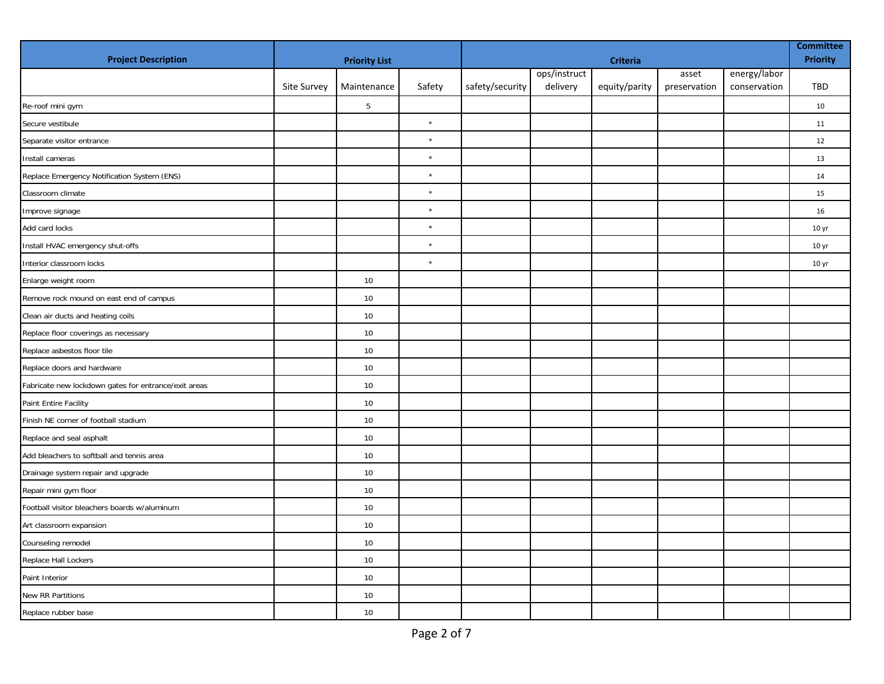| <b>Project Description</b>                           | <b>Priority List</b> |                |         |                 | <b>Committee</b><br>Priority |               |              |              |                  |
|------------------------------------------------------|----------------------|----------------|---------|-----------------|------------------------------|---------------|--------------|--------------|------------------|
|                                                      |                      |                |         |                 | ops/instruct                 |               | asset        | energy/labor |                  |
|                                                      | Site Survey          | Maintenance    | Safety  | safety/security | delivery                     | equity/parity | preservation | conservation | TBD              |
| Re-roof mini gym                                     |                      | $\overline{5}$ |         |                 |                              |               |              |              | 10               |
| Secure vestibule                                     |                      |                | $\star$ |                 |                              |               |              |              | 11               |
| Separate visitor entrance                            |                      |                | $\star$ |                 |                              |               |              |              | 12               |
| Install cameras                                      |                      |                | $\star$ |                 |                              |               |              |              | 13               |
| Replace Emergency Notification System (ENS)          |                      |                | $\star$ |                 |                              |               |              |              | 14               |
| Classroom climate                                    |                      |                | $\star$ |                 |                              |               |              |              | 15               |
| Improve signage                                      |                      |                | $\star$ |                 |                              |               |              |              | 16               |
| Add card locks                                       |                      |                | $\star$ |                 |                              |               |              |              | 10 <sub>yr</sub> |
| Install HVAC emergency shut-offs                     |                      |                | $\star$ |                 |                              |               |              |              | 10 <sub>yr</sub> |
| Interior classroom locks                             |                      |                | $\star$ |                 |                              |               |              |              | 10 <sub>yr</sub> |
| Enlarge weight room                                  |                      | 10             |         |                 |                              |               |              |              |                  |
| Remove rock mound on east end of campus              |                      | 10             |         |                 |                              |               |              |              |                  |
| Clean air ducts and heating coils                    |                      | 10             |         |                 |                              |               |              |              |                  |
| Replace floor coverings as necessary                 |                      | 10             |         |                 |                              |               |              |              |                  |
| Replace asbestos floor tile                          |                      | 10             |         |                 |                              |               |              |              |                  |
| Replace doors and hardware                           |                      | 10             |         |                 |                              |               |              |              |                  |
| Fabricate new lockdown gates for entrance/exit areas |                      | 10             |         |                 |                              |               |              |              |                  |
| Paint Entire Facility                                |                      | 10             |         |                 |                              |               |              |              |                  |
| Finish NE corner of football stadium                 |                      | 10             |         |                 |                              |               |              |              |                  |
| Replace and seal asphalt                             |                      | 10             |         |                 |                              |               |              |              |                  |
| Add bleachers to softball and tennis area            |                      | 10             |         |                 |                              |               |              |              |                  |
| Drainage system repair and upgrade                   |                      | 10             |         |                 |                              |               |              |              |                  |
| Repair mini gym floor                                |                      | 10             |         |                 |                              |               |              |              |                  |
| Football visitor bleachers boards w/aluminum         |                      | 10             |         |                 |                              |               |              |              |                  |
| Art classroom expansion                              |                      | 10             |         |                 |                              |               |              |              |                  |
| Counseling remodel                                   |                      | 10             |         |                 |                              |               |              |              |                  |
| Replace Hall Lockers                                 |                      | 10             |         |                 |                              |               |              |              |                  |
| Paint Interior                                       |                      | 10             |         |                 |                              |               |              |              |                  |
| New RR Partitions                                    |                      | 10             |         |                 |                              |               |              |              |                  |
| Replace rubber base                                  |                      | 10             |         |                 |                              |               |              |              |                  |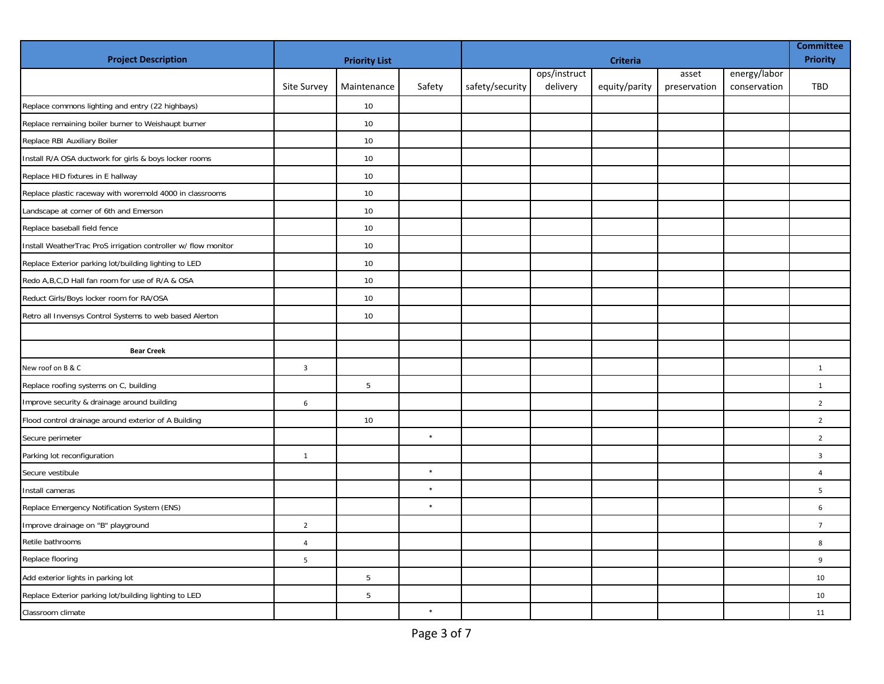| <b>Project Description</b>                                     | <b>Priority List</b>    |                 |        |                 | <b>Committee</b><br><b>Priority</b> |               |                       |                              |                |
|----------------------------------------------------------------|-------------------------|-----------------|--------|-----------------|-------------------------------------|---------------|-----------------------|------------------------------|----------------|
|                                                                | Site Survey             | Maintenance     | Safety | safety/security | ops/instruct<br>delivery            | equity/parity | asset<br>preservation | energy/labor<br>conservation | TBD            |
| Replace commons lighting and entry (22 highbays)               |                         | 10              |        |                 |                                     |               |                       |                              |                |
| Replace remaining boiler burner to Weishaupt burner            |                         | 10              |        |                 |                                     |               |                       |                              |                |
| Replace RBI Auxiliary Boiler                                   |                         | 10              |        |                 |                                     |               |                       |                              |                |
| Install R/A OSA ductwork for girls & boys locker rooms         |                         | 10              |        |                 |                                     |               |                       |                              |                |
| Replace HID fixtures in E hallway                              |                         | 10              |        |                 |                                     |               |                       |                              |                |
| Replace plastic raceway with woremold 4000 in classrooms       |                         | 10              |        |                 |                                     |               |                       |                              |                |
| Landscape at corner of 6th and Emerson                         |                         | 10              |        |                 |                                     |               |                       |                              |                |
| Replace baseball field fence                                   |                         | 10              |        |                 |                                     |               |                       |                              |                |
| Install WeatherTrac ProS irrigation controller w/ flow monitor |                         | 10              |        |                 |                                     |               |                       |                              |                |
| Replace Exterior parking lot/building lighting to LED          |                         | 10              |        |                 |                                     |               |                       |                              |                |
| Redo A,B,C,D Hall fan room for use of R/A & OSA                |                         | 10              |        |                 |                                     |               |                       |                              |                |
| Reduct Girls/Boys locker room for RA/OSA                       |                         | 10              |        |                 |                                     |               |                       |                              |                |
| Retro all Invensys Control Systems to web based Alerton        |                         | 10              |        |                 |                                     |               |                       |                              |                |
|                                                                |                         |                 |        |                 |                                     |               |                       |                              |                |
| <b>Bear Creek</b>                                              |                         |                 |        |                 |                                     |               |                       |                              |                |
| New roof on B & C                                              | $\overline{\mathbf{3}}$ |                 |        |                 |                                     |               |                       |                              | $\mathbf{1}$   |
| Replace roofing systems on C, building                         |                         | $5\phantom{.0}$ |        |                 |                                     |               |                       |                              | $\mathbf{1}$   |
| Improve security & drainage around building                    | 6                       |                 |        |                 |                                     |               |                       |                              | $\overline{2}$ |
| Flood control drainage around exterior of A Building           |                         | 10              |        |                 |                                     |               |                       |                              | $\overline{2}$ |
| Secure perimeter                                               |                         |                 | $\ast$ |                 |                                     |               |                       |                              | $\overline{2}$ |
| Parking lot reconfiguration                                    | $\mathbf{1}$            |                 |        |                 |                                     |               |                       |                              | $\overline{3}$ |
| Secure vestibule                                               |                         |                 | $\ast$ |                 |                                     |               |                       |                              | $\overline{4}$ |
| Install cameras                                                |                         |                 | $\ast$ |                 |                                     |               |                       |                              | 5              |
| Replace Emergency Notification System (ENS)                    |                         |                 | $\ast$ |                 |                                     |               |                       |                              | 6              |
| Improve drainage on "B" playground                             | $\overline{2}$          |                 |        |                 |                                     |               |                       |                              | $\overline{7}$ |
| Retile bathrooms                                               | $\overline{4}$          |                 |        |                 |                                     |               |                       |                              | 8              |
| Replace flooring                                               | 5                       |                 |        |                 |                                     |               |                       |                              | 9              |
| Add exterior lights in parking lot                             |                         | 5               |        |                 |                                     |               |                       |                              | 10             |
| Replace Exterior parking lot/building lighting to LED          |                         | 5               |        |                 |                                     |               |                       |                              | 10             |
| Classroom climate                                              |                         |                 | $\ast$ |                 |                                     |               |                       |                              | 11             |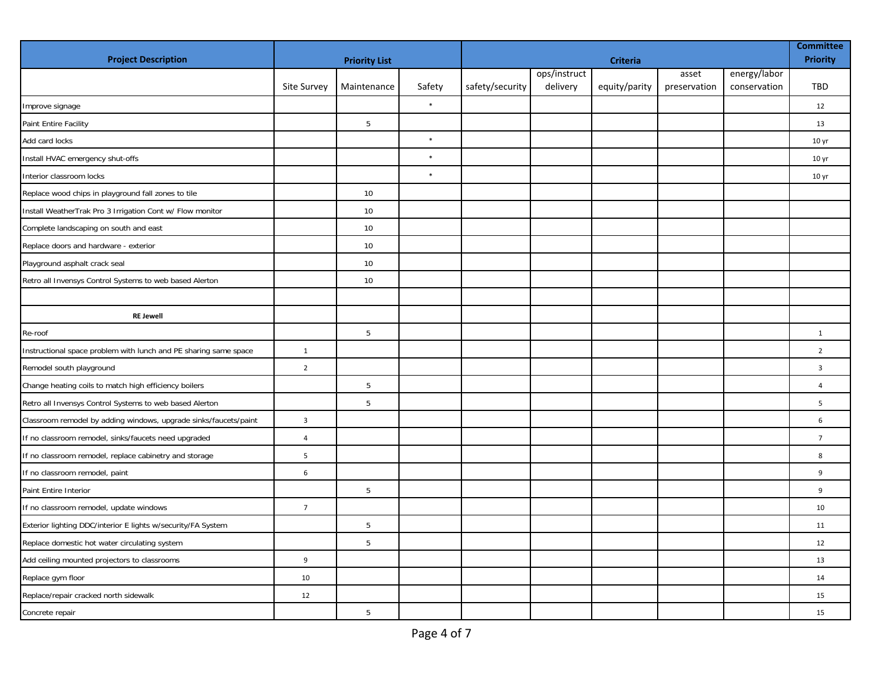| <b>Project Description</b>                                       | <b>Priority List</b>    |                 |        |                 | <b>Committee</b><br><b>Priority</b> |               |              |              |                  |
|------------------------------------------------------------------|-------------------------|-----------------|--------|-----------------|-------------------------------------|---------------|--------------|--------------|------------------|
|                                                                  |                         |                 |        |                 | ops/instruct                        |               | asset        | energy/labor |                  |
|                                                                  | <b>Site Survey</b>      | Maintenance     | Safety | safety/security | delivery                            | equity/parity | preservation | conservation | <b>TBD</b>       |
| Improve signage                                                  |                         |                 | $\ast$ |                 |                                     |               |              |              | 12               |
| Paint Entire Facility                                            |                         | 5               |        |                 |                                     |               |              |              | 13               |
| Add card locks                                                   |                         |                 | $\ast$ |                 |                                     |               |              |              | 10 <sub>yr</sub> |
| Install HVAC emergency shut-offs                                 |                         |                 | $\ast$ |                 |                                     |               |              |              | 10 <sub>yr</sub> |
| Interior classroom locks                                         |                         |                 | $\ast$ |                 |                                     |               |              |              | 10 <sub>yr</sub> |
| Replace wood chips in playground fall zones to tile              |                         | 10              |        |                 |                                     |               |              |              |                  |
| Install WeatherTrak Pro 3 Irrigation Cont w/ Flow monitor        |                         | 10              |        |                 |                                     |               |              |              |                  |
| Complete landscaping on south and east                           |                         | 10              |        |                 |                                     |               |              |              |                  |
| Replace doors and hardware - exterior                            |                         | 10              |        |                 |                                     |               |              |              |                  |
| Playground asphalt crack seal                                    |                         | 10 <sup>°</sup> |        |                 |                                     |               |              |              |                  |
| Retro all Invensys Control Systems to web based Alerton          |                         | 10              |        |                 |                                     |               |              |              |                  |
|                                                                  |                         |                 |        |                 |                                     |               |              |              |                  |
| <b>RE Jewell</b>                                                 |                         |                 |        |                 |                                     |               |              |              |                  |
| Re-roof                                                          |                         | 5               |        |                 |                                     |               |              |              | $\mathbf{1}$     |
| Instructional space problem with lunch and PE sharing same space | $\mathbf{1}$            |                 |        |                 |                                     |               |              |              | $\overline{2}$   |
| Remodel south playground                                         | $\overline{2}$          |                 |        |                 |                                     |               |              |              | $\mathbf{3}$     |
| Change heating coils to match high efficiency boilers            |                         | $5\phantom{.0}$ |        |                 |                                     |               |              |              | $\overline{4}$   |
| Retro all Invensys Control Systems to web based Alerton          |                         | 5               |        |                 |                                     |               |              |              | 5                |
| Classroom remodel by adding windows, upgrade sinks/faucets/paint | $\overline{\mathbf{3}}$ |                 |        |                 |                                     |               |              |              | 6                |
| If no classroom remodel, sinks/faucets need upgraded             | $\overline{4}$          |                 |        |                 |                                     |               |              |              | $\overline{7}$   |
| If no classroom remodel, replace cabinetry and storage           | 5                       |                 |        |                 |                                     |               |              |              | 8                |
| If no classroom remodel, paint                                   | 6                       |                 |        |                 |                                     |               |              |              | 9                |
| Paint Entire Interior                                            |                         | 5               |        |                 |                                     |               |              |              | 9                |
| If no classroom remodel, update windows                          | $\overline{7}$          |                 |        |                 |                                     |               |              |              | 10               |
| Exterior lighting DDC/interior E lights w/security/FA System     |                         | 5               |        |                 |                                     |               |              |              | 11               |
| Replace domestic hot water circulating system                    |                         | 5               |        |                 |                                     |               |              |              | 12               |
| Add ceiling mounted projectors to classrooms                     | $\overline{9}$          |                 |        |                 |                                     |               |              |              | 13               |
| Replace gym floor                                                | 10                      |                 |        |                 |                                     |               |              |              | 14               |
| Replace/repair cracked north sidewalk                            | 12                      |                 |        |                 |                                     |               |              |              | 15               |
| Concrete repair                                                  |                         | $5\phantom{.0}$ |        |                 |                                     |               |              |              | 15               |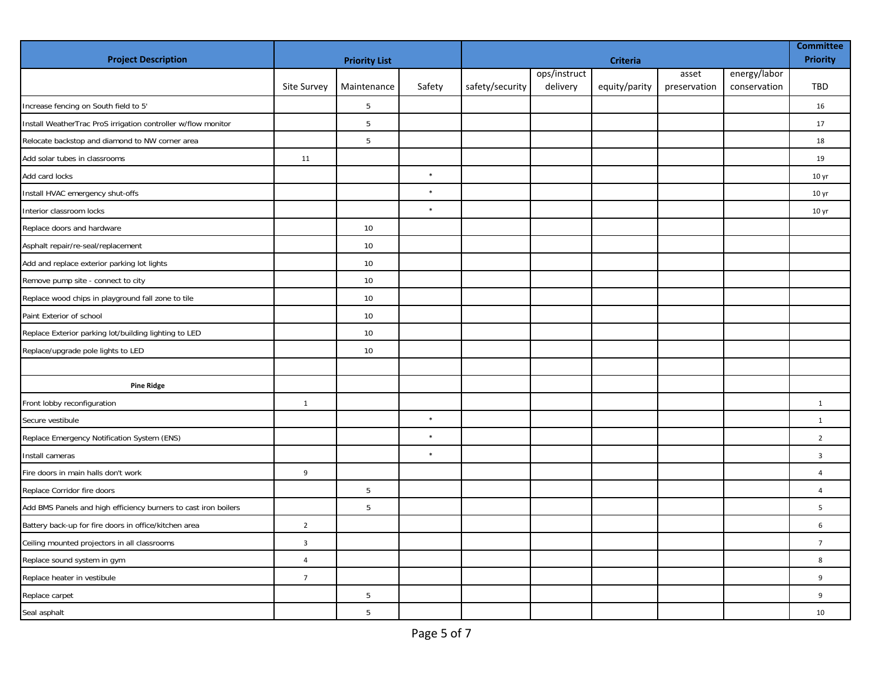| <b>Project Description</b>                                      |                         | <b>Priority List</b> |        |                 | <b>Committee</b><br><b>Priority</b> |               |              |              |                  |
|-----------------------------------------------------------------|-------------------------|----------------------|--------|-----------------|-------------------------------------|---------------|--------------|--------------|------------------|
|                                                                 |                         |                      |        |                 | ops/instruct                        |               | asset        | energy/labor |                  |
|                                                                 | Site Survey             | Maintenance          | Safety | safety/security | delivery                            | equity/parity | preservation | conservation | <b>TBD</b>       |
| Increase fencing on South field to 5'                           |                         | 5                    |        |                 |                                     |               |              |              | 16               |
| Install WeatherTrac ProS irrigation controller w/flow monitor   |                         | 5                    |        |                 |                                     |               |              |              | 17               |
| Relocate backstop and diamond to NW corner area                 |                         | $5\phantom{.0}$      |        |                 |                                     |               |              |              | 18               |
| Add solar tubes in classrooms                                   | 11                      |                      |        |                 |                                     |               |              |              | 19               |
| Add card locks                                                  |                         |                      | $\ast$ |                 |                                     |               |              |              | 10 <sub>yr</sub> |
| Install HVAC emergency shut-offs                                |                         |                      | $\ast$ |                 |                                     |               |              |              | 10 <sub>yr</sub> |
| Interior classroom locks                                        |                         |                      | $\ast$ |                 |                                     |               |              |              | 10 <sub>yr</sub> |
| Replace doors and hardware                                      |                         | 10                   |        |                 |                                     |               |              |              |                  |
| Asphalt repair/re-seal/replacement                              |                         | 10                   |        |                 |                                     |               |              |              |                  |
| Add and replace exterior parking lot lights                     |                         | 10                   |        |                 |                                     |               |              |              |                  |
| Remove pump site - connect to city                              |                         | 10                   |        |                 |                                     |               |              |              |                  |
| Replace wood chips in playground fall zone to tile              |                         | 10                   |        |                 |                                     |               |              |              |                  |
| Paint Exterior of school                                        |                         | 10                   |        |                 |                                     |               |              |              |                  |
| Replace Exterior parking lot/building lighting to LED           |                         | 10                   |        |                 |                                     |               |              |              |                  |
| Replace/upgrade pole lights to LED                              |                         | 10                   |        |                 |                                     |               |              |              |                  |
|                                                                 |                         |                      |        |                 |                                     |               |              |              |                  |
| <b>Pine Ridge</b>                                               |                         |                      |        |                 |                                     |               |              |              |                  |
| Front lobby reconfiguration                                     | $\mathbf{1}$            |                      |        |                 |                                     |               |              |              | $\mathbf{1}$     |
| Secure vestibule                                                |                         |                      | $\ast$ |                 |                                     |               |              |              | $\mathbf{1}$     |
| Replace Emergency Notification System (ENS)                     |                         |                      | $\ast$ |                 |                                     |               |              |              | $\overline{2}$   |
| Install cameras                                                 |                         |                      | $\ast$ |                 |                                     |               |              |              | $\overline{3}$   |
| Fire doors in main halls don't work                             | 9                       |                      |        |                 |                                     |               |              |              | $\overline{4}$   |
| Replace Corridor fire doors                                     |                         | 5                    |        |                 |                                     |               |              |              | $\overline{4}$   |
| Add BMS Panels and high efficiency burners to cast iron boilers |                         | 5                    |        |                 |                                     |               |              |              | 5                |
| Battery back-up for fire doors in office/kitchen area           | $\overline{2}$          |                      |        |                 |                                     |               |              |              | 6                |
| Ceiling mounted projectors in all classrooms                    | $\overline{\mathbf{3}}$ |                      |        |                 |                                     |               |              |              | $\overline{7}$   |
| Replace sound system in gym                                     | $\overline{4}$          |                      |        |                 |                                     |               |              |              | 8                |
| Replace heater in vestibule                                     | $7\overline{ }$         |                      |        |                 |                                     |               |              |              | 9                |
| Replace carpet                                                  |                         | 5                    |        |                 |                                     |               |              |              | 9                |
| Seal asphalt                                                    |                         | 5                    |        |                 |                                     |               |              |              | 10               |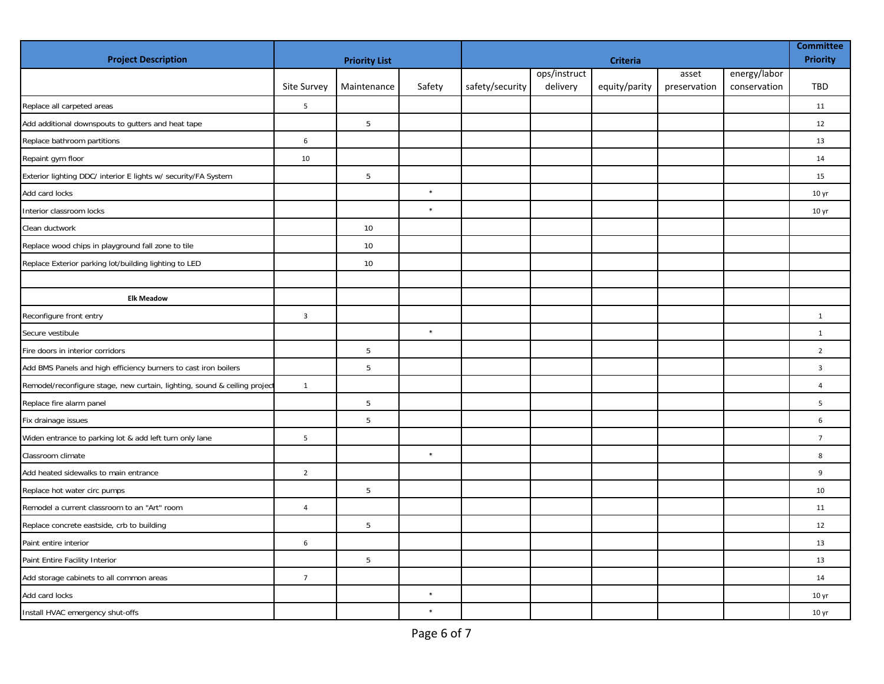| <b>Project Description</b>                                                |                         | <b>Priority List</b> |        | <b>Criteria</b> |              |               |              |              |                  |
|---------------------------------------------------------------------------|-------------------------|----------------------|--------|-----------------|--------------|---------------|--------------|--------------|------------------|
|                                                                           |                         |                      |        |                 | ops/instruct |               | asset        | energy/labor |                  |
|                                                                           | Site Survey             | Maintenance          | Safety | safety/security | delivery     | equity/parity | preservation | conservation | <b>TBD</b>       |
| Replace all carpeted areas                                                | 5                       |                      |        |                 |              |               |              |              | 11               |
| Add additional downspouts to gutters and heat tape                        |                         | 5                    |        |                 |              |               |              |              | 12               |
| Replace bathroom partitions                                               | 6                       |                      |        |                 |              |               |              |              | 13               |
| Repaint gym floor                                                         | 10                      |                      |        |                 |              |               |              |              | 14               |
| Exterior lighting DDC/ interior E lights w/ security/FA System            |                         | 5                    |        |                 |              |               |              |              | 15               |
| Add card locks                                                            |                         |                      | $\ast$ |                 |              |               |              |              | 10 <sub>yr</sub> |
| Interior classroom locks                                                  |                         |                      | $\ast$ |                 |              |               |              |              | 10 <sub>yr</sub> |
| Clean ductwork                                                            |                         | 10                   |        |                 |              |               |              |              |                  |
| Replace wood chips in playground fall zone to tile                        |                         | 10                   |        |                 |              |               |              |              |                  |
| Replace Exterior parking lot/building lighting to LED                     |                         | 10                   |        |                 |              |               |              |              |                  |
|                                                                           |                         |                      |        |                 |              |               |              |              |                  |
| <b>Elk Meadow</b>                                                         |                         |                      |        |                 |              |               |              |              |                  |
| Reconfigure front entry                                                   | $\overline{\mathbf{3}}$ |                      |        |                 |              |               |              |              | $\mathbf{1}$     |
| Secure vestibule                                                          |                         |                      | $\ast$ |                 |              |               |              |              | $\mathbf{1}$     |
| Fire doors in interior corridors                                          |                         | 5                    |        |                 |              |               |              |              | $\overline{2}$   |
| Add BMS Panels and high efficiency burners to cast iron boilers           |                         | 5                    |        |                 |              |               |              |              | $\overline{3}$   |
| Remodel/reconfigure stage, new curtain, lighting, sound & ceiling project | $\mathbf{1}$            |                      |        |                 |              |               |              |              | $\overline{4}$   |
| Replace fire alarm panel                                                  |                         | $5\phantom{.0}$      |        |                 |              |               |              |              | 5                |
| Fix drainage issues                                                       |                         | $5\phantom{.0}$      |        |                 |              |               |              |              | 6                |
| Widen entrance to parking lot & add left turn only lane                   | 5                       |                      |        |                 |              |               |              |              | $\overline{7}$   |
| Classroom climate                                                         |                         |                      | $\ast$ |                 |              |               |              |              | 8                |
| Add heated sidewalks to main entrance                                     | $\overline{2}$          |                      |        |                 |              |               |              |              | 9                |
| Replace hot water circ pumps                                              |                         | 5                    |        |                 |              |               |              |              | 10               |
| Remodel a current classroom to an "Art" room                              | $\overline{4}$          |                      |        |                 |              |               |              |              | 11               |
| Replace concrete eastside, crb to building                                |                         | 5                    |        |                 |              |               |              |              | 12               |
| Paint entire interior                                                     | 6                       |                      |        |                 |              |               |              |              | 13               |
| Paint Entire Facility Interior                                            |                         | 5                    |        |                 |              |               |              |              | 13               |
| Add storage cabinets to all common areas                                  | $\overline{7}$          |                      |        |                 |              |               |              |              | 14               |
| Add card locks                                                            |                         |                      | $\ast$ |                 |              |               |              |              | 10 <sub>yr</sub> |
| Install HVAC emergency shut-offs                                          |                         |                      | $\ast$ |                 |              |               |              |              | 10 <sub>yr</sub> |